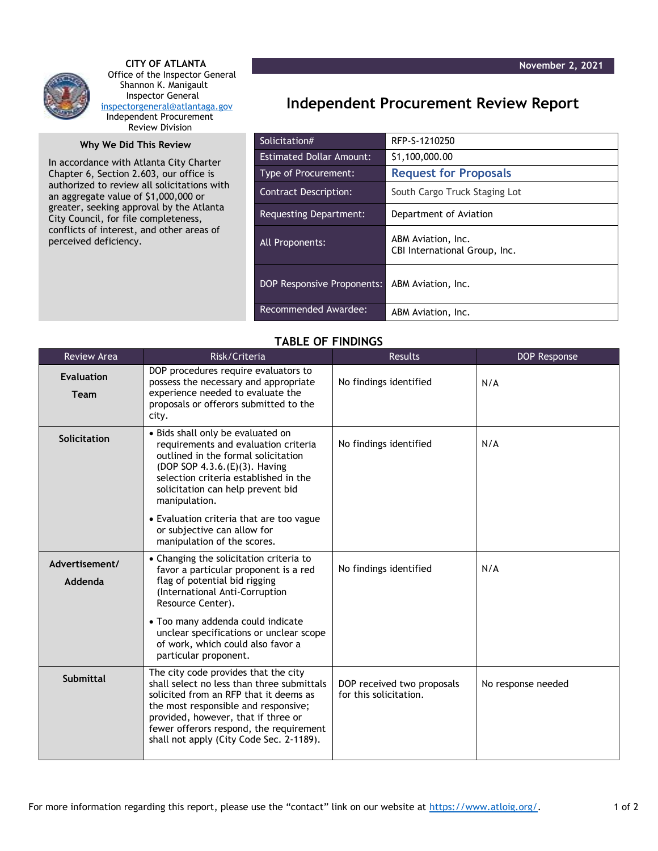

 **CITY OF ATLANTA** Office of the Inspector General Shannon K. Manigault Inspector General [inspectorgeneral@atlantaga.gov](mailto:inspectorgeneral@atlantaga.gov) Independent Procurement Review Division

## **Why We Did This Review**

In accordance with Atlanta City Charter Chapter 6, Section 2.603, our office is authorized to review all solicitations with an aggregate value of \$1,000,000 or greater, seeking approval by the Atlanta City Council, for file completeness, conflicts of interest, and other areas of perceived deficiency.

## **Independent Procurement Review Report**

| Solicitation#                   | RFP-S-1210250                                       |
|---------------------------------|-----------------------------------------------------|
| <b>Estimated Dollar Amount:</b> | \$1,100,000.00                                      |
| <b>Type of Procurement:</b>     | <b>Request for Proposals</b>                        |
| Contract Description:           | South Cargo Truck Staging Lot                       |
| Requesting Department:          | Department of Aviation                              |
| All Proponents:                 | ABM Aviation, Inc.<br>CBI International Group, Inc. |
| DOP Responsive Proponents:      | ABM Aviation, Inc.                                  |
| Recommended Awardee:            | ABM Aviation, Inc.                                  |

## **TABLE OF FINDINGS**

| <b>Review Area</b>        | Risk/Criteria                                                                                                                                                                                                                                                                                      | <b>Results</b>                                       | <b>DOP Response</b> |
|---------------------------|----------------------------------------------------------------------------------------------------------------------------------------------------------------------------------------------------------------------------------------------------------------------------------------------------|------------------------------------------------------|---------------------|
| <b>Evaluation</b><br>Team | DOP procedures require evaluators to<br>possess the necessary and appropriate<br>experience needed to evaluate the<br>proposals or offerors submitted to the<br>city.                                                                                                                              | No findings identified                               | N/A                 |
| Solicitation              | · Bids shall only be evaluated on<br>requirements and evaluation criteria<br>outlined in the formal solicitation<br>(DOP SOP 4.3.6.(E)(3). Having<br>selection criteria established in the<br>solicitation can help prevent bid<br>manipulation.                                                   | No findings identified                               | N/A                 |
|                           | • Evaluation criteria that are too vague<br>or subjective can allow for<br>manipulation of the scores.                                                                                                                                                                                             |                                                      |                     |
| Advertisement/<br>Addenda | • Changing the solicitation criteria to<br>favor a particular proponent is a red<br>flag of potential bid rigging<br>(International Anti-Corruption<br>Resource Center).                                                                                                                           | No findings identified                               | N/A                 |
|                           | • Too many addenda could indicate<br>unclear specifications or unclear scope<br>of work, which could also favor a<br>particular proponent.                                                                                                                                                         |                                                      |                     |
| Submittal                 | The city code provides that the city<br>shall select no less than three submittals<br>solicited from an RFP that it deems as<br>the most responsible and responsive;<br>provided, however, that if three or<br>fewer offerors respond, the requirement<br>shall not apply (City Code Sec. 2-1189). | DOP received two proposals<br>for this solicitation. | No response needed  |